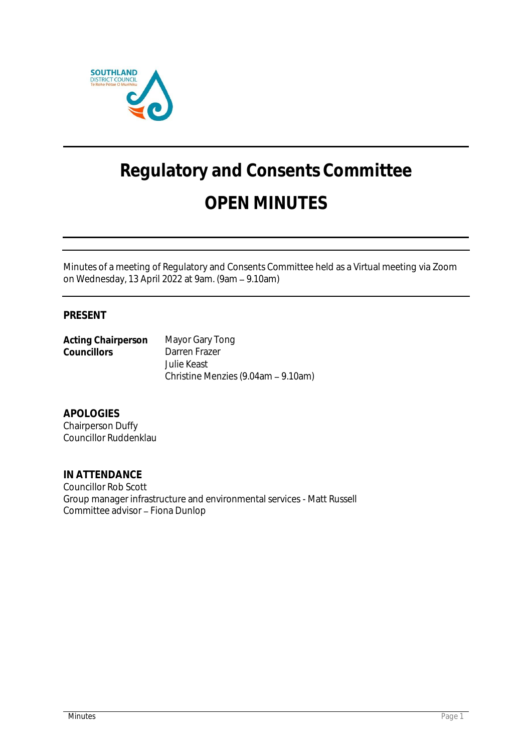

# **Regulatory and Consents Committee OPEN MINUTES**

Minutes of a meeting of Regulatory and Consents Committee held as a Virtual meeting via Zoom on Wednesday, 13 April 2022 at 9am. (9am - 9.10am)

## **PRESENT**

**Acting Chairperson** Mayor Gary Tong Darren Frazer Julie Keast Christine Menzies (9.04am - 9.10am)

**APOLOGIES** Chairperson Duffy Councillor Ruddenklau

**IN ATTENDANCE** Councillor Rob Scott Group manager infrastructure and environmental services - Matt Russell Committee advisor - Fiona Dunlop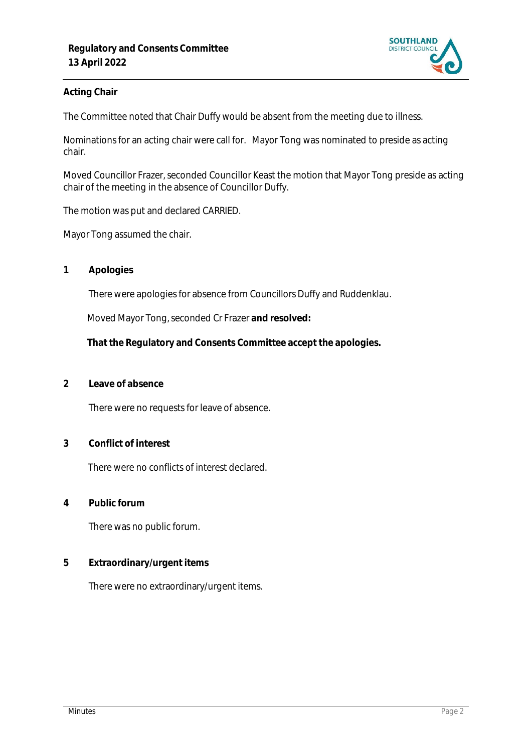

### **Acting Chair**

The Committee noted that Chair Duffy would be absent from the meeting due to illness.

Nominations for an acting chair were call for. Mayor Tong was nominated to preside as acting chair.

Moved Councillor Frazer, seconded Councillor Keast the motion that Mayor Tong preside as acting chair of the meeting in the absence of Councillor Duffy.

The motion was put and declared CARRIED.

Mayor Tong assumed the chair.

**1 Apologies** 

There were apologies for absence from Councillors Duffy and Ruddenklau.

Moved Mayor Tong, seconded Cr Frazer **and resolved:**

**That the Regulatory and Consents Committee accept the apologies.**

**2 Leave of absence** 

There were no requests for leave of absence.

**3 Conflict of interest**

There were no conflicts of interest declared.

**4 Public forum**

There was no public forum.

**5 Extraordinary/urgent items**

There were no extraordinary/urgent items.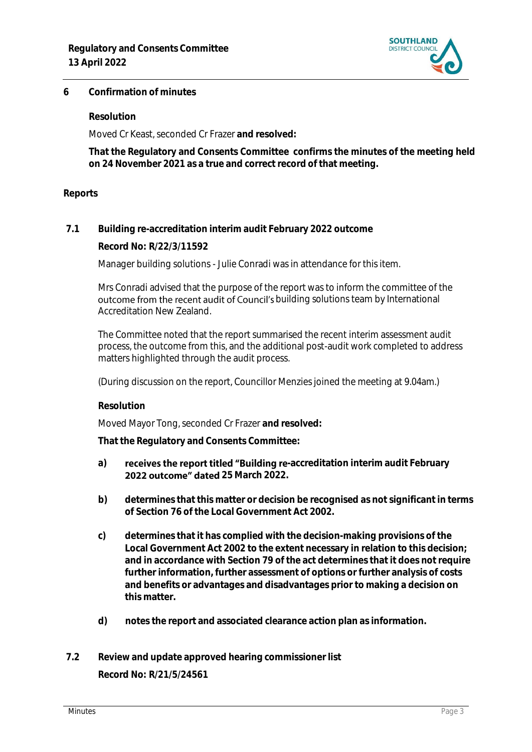

#### **6 Confirmation of minutes**

**Resolution**

Moved Cr Keast, seconded Cr Frazer **and resolved:**

**That the Regulatory and Consents Committee confirms the minutes of the meeting held on 24 November 2021 as a true and correct record of that meeting.**

#### **Reports**

**7.1 Building re-accreditation interim audit February 2022 outcome**

**Record No: R/22/3/11592**

Manager building solutions - Julie Conradi was in attendance for this item.

Mrs Conradi advised that the purpose of the report was to inform the committee of the outcome from the recent audit of Council's building solutions team by International Accreditation New Zealand.

The Committee noted that the report summarised the recent interim assessment audit process, the outcome from this, and the additional post-audit work completed to address matters highlighted through the audit process.

(During discussion on the report, Councillor Menzies joined the meeting at 9.04am.)

**Resolution**

Moved Mayor Tong, seconded Cr Frazer **and resolved:**

**That the Regulatory and Consents Committee:**

- a) **receives the report titled "Building re**-accreditation interim audit February **2022 outcome" dated 25 March 2022.**
- **b) determines that this matter or decision be recognised as not significant in terms of Section 76 of the Local Government Act 2002.**
- **c) determines that it has complied with the decision-making provisions of the Local Government Act 2002 to the extent necessary in relation to this decision; and in accordance with Section 79 of the act determines that it does not require further information, further assessment of options or further analysis of costs and benefits or advantages and disadvantages prior to making a decision on this matter.**
- **d) notes the report and associated clearance action plan as information.**

# **7.2 Review and update approved hearing commissioner list Record No: R/21/5/24561**